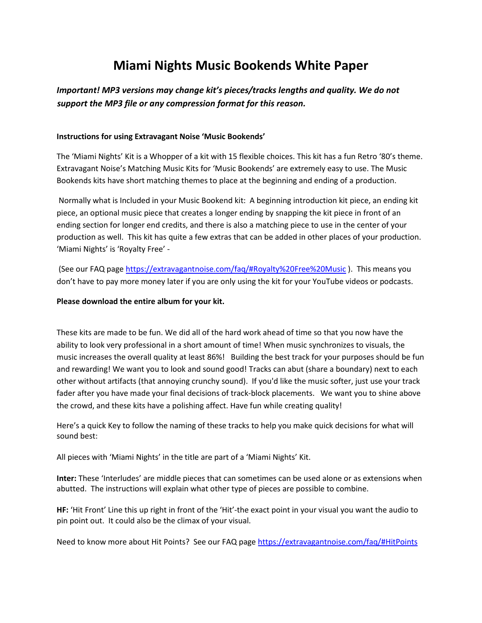## **Miami Nights Music Bookends White Paper**

## *Important! MP3 versions may change kit's pieces/tracks lengths and quality. We do not support the MP3 file or any compression format for this reason.*

## **Instructions for using Extravagant Noise 'Music Bookends'**

The 'Miami Nights' Kit is a Whopper of a kit with 15 flexible choices. This kit has a fun Retro '80's theme. Extravagant Noise's Matching Music Kits for 'Music Bookends' are extremely easy to use. The Music Bookends kits have short matching themes to place at the beginning and ending of a production.

Normally what is Included in your Music Bookend kit: A beginning introduction kit piece, an ending kit piece, an optional music piece that creates a longer ending by snapping the kit piece in front of an ending section for longer end credits, and there is also a matching piece to use in the center of your production as well. This kit has quite a few extras that can be added in other places of your production. 'Miami Nights' is 'Royalty Free' -

(See our FAQ pag[e https://extravagantnoise.com/faq/#Royalty%20Free%20Music](https://extravagantnoise.com/faq/#Royalty%20Free%20Music) ). This means you don't have to pay more money later if you are only using the kit for your YouTube videos or podcasts.

## **Please download the entire album for your kit.**

These kits are made to be fun. We did all of the hard work ahead of time so that you now have the ability to look very professional in a short amount of time! When music synchronizes to visuals, the music increases the overall quality at least 86%! Building the best track for your purposes should be fun and rewarding! We want you to look and sound good! Tracks can abut (share a boundary) next to each other without artifacts (that annoying crunchy sound). If you'd like the music softer, just use your track fader after you have made your final decisions of track-block placements. We want you to shine above the crowd, and these kits have a polishing affect. Have fun while creating quality!

Here's a quick Key to follow the naming of these tracks to help you make quick decisions for what will sound best:

All pieces with 'Miami Nights' in the title are part of a 'Miami Nights' Kit.

**Inter:** These 'Interludes' are middle pieces that can sometimes can be used alone or as extensions when abutted. The instructions will explain what other type of pieces are possible to combine.

**HF:** 'Hit Front' Line this up right in front of the 'Hit'-the exact point in your visual you want the audio to pin point out. It could also be the climax of your visual.

Need to know more about Hit Points? See our FAQ pag[e https://extravagantnoise.com/faq/#HitPoints](https://extravagantnoise.com/faq/#HitPoints)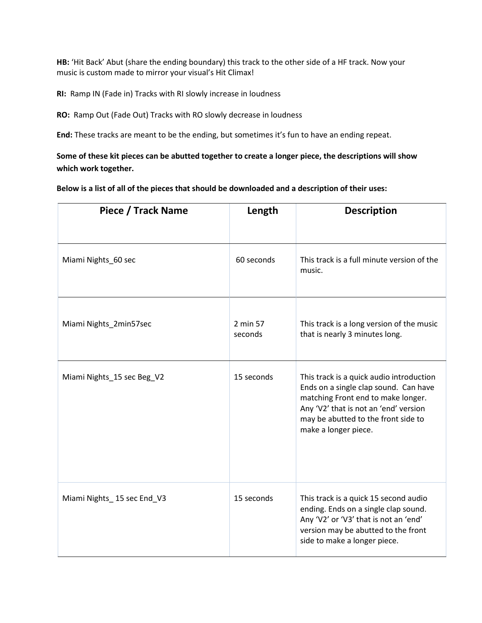**HB:** 'Hit Back' Abut (share the ending boundary) this track to the other side of a HF track. Now your music is custom made to mirror your visual's Hit Climax!

**RI:** Ramp IN (Fade in) Tracks with RI slowly increase in loudness

**RO:** Ramp Out (Fade Out) Tracks with RO slowly decrease in loudness

**End:** These tracks are meant to be the ending, but sometimes it's fun to have an ending repeat.

**Some of these kit pieces can be abutted together to create a longer piece, the descriptions will show which work together.** 

**Below is a list of all of the pieces that should be downloaded and a description of their uses:**

| Piece / Track Name         | Length              | <b>Description</b>                                                                                                                                                                                                              |
|----------------------------|---------------------|---------------------------------------------------------------------------------------------------------------------------------------------------------------------------------------------------------------------------------|
|                            |                     |                                                                                                                                                                                                                                 |
| Miami Nights_60 sec        | 60 seconds          | This track is a full minute version of the<br>music.                                                                                                                                                                            |
| Miami Nights_2min57sec     | 2 min 57<br>seconds | This track is a long version of the music<br>that is nearly 3 minutes long.                                                                                                                                                     |
| Miami Nights_15 sec Beg_V2 | 15 seconds          | This track is a quick audio introduction<br>Ends on a single clap sound. Can have<br>matching Front end to make longer.<br>Any 'V2' that is not an 'end' version<br>may be abutted to the front side to<br>make a longer piece. |
| Miami Nights_15 sec End_V3 | 15 seconds          | This track is a quick 15 second audio<br>ending. Ends on a single clap sound.<br>Any 'V2' or 'V3' that is not an 'end'<br>version may be abutted to the front<br>side to make a longer piece.                                   |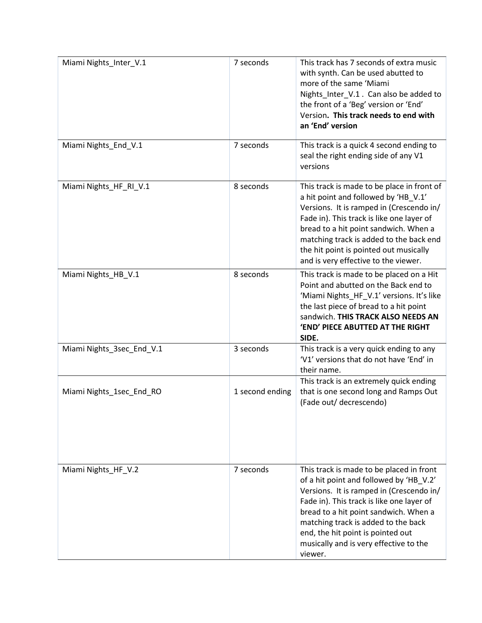| Miami Nights_Inter_V.1    | 7 seconds       | This track has 7 seconds of extra music<br>with synth. Can be used abutted to<br>more of the same 'Miami<br>Nights_Inter_V.1. Can also be added to<br>the front of a 'Beg' version or 'End'<br>Version. This track needs to end with<br>an 'End' version                                                                                               |
|---------------------------|-----------------|--------------------------------------------------------------------------------------------------------------------------------------------------------------------------------------------------------------------------------------------------------------------------------------------------------------------------------------------------------|
| Miami Nights End V.1      | 7 seconds       | This track is a quick 4 second ending to<br>seal the right ending side of any V1<br>versions                                                                                                                                                                                                                                                           |
| Miami Nights_HF_RI_V.1    | 8 seconds       | This track is made to be place in front of<br>a hit point and followed by 'HB_V.1'<br>Versions. It is ramped in (Crescendo in/<br>Fade in). This track is like one layer of<br>bread to a hit point sandwich. When a<br>matching track is added to the back end<br>the hit point is pointed out musically<br>and is very effective to the viewer.      |
| Miami Nights_HB_V.1       | 8 seconds       | This track is made to be placed on a Hit<br>Point and abutted on the Back end to<br>'Miami Nights_HF_V.1' versions. It's like<br>the last piece of bread to a hit point<br>sandwich. THIS TRACK ALSO NEEDS AN<br>'END' PIECE ABUTTED AT THE RIGHT<br>SIDE.                                                                                             |
| Miami Nights_3sec_End_V.1 | 3 seconds       | This track is a very quick ending to any<br>'V1' versions that do not have 'End' in<br>their name.                                                                                                                                                                                                                                                     |
| Miami Nights_1sec_End_RO  | 1 second ending | This track is an extremely quick ending<br>that is one second long and Ramps Out<br>(Fade out/ decrescendo)                                                                                                                                                                                                                                            |
| Miami Nights_HF_V.2       | 7 seconds       | This track is made to be placed in front<br>of a hit point and followed by 'HB_V.2'<br>Versions. It is ramped in (Crescendo in/<br>Fade in). This track is like one layer of<br>bread to a hit point sandwich. When a<br>matching track is added to the back<br>end, the hit point is pointed out<br>musically and is very effective to the<br>viewer. |